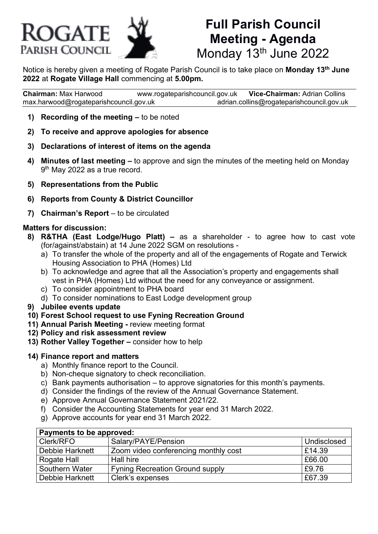

# **Full Parish Council Meeting - Agenda** Monday 13<sup>th</sup> June 2022

Notice is hereby given a meeting of Rogate Parish Council is to take place on **Monday 13th June 2022** at **Rogate Village Hall** commencing at **5.00pm.**

**Chairman:** Max Harwood [www.rogateparishcouncil.gov.uk](http://www.rogateparishcouncil.gov.uk/) **Vice-Chairman:** Adrian Collins [max.harwood@rogateparishcouncil.gov.uk](mailto:max.harwood@rogateparishcouncil.gov.uk) [adrian.collins@rogateparishcouncil.gov.uk](mailto:adrian.collins@rogateparishcouncil.gov.uk)

- **1) Recording of the meeting –** to be noted
- **2) To receive and approve apologies for absence**
- **3) Declarations of interest of items on the agenda**
- **4) Minutes of last meeting –** to approve and sign the minutes of the meeting held on Monday 9<sup>th</sup> May 2022 as a true record.
- **5) Representations from the Public**
- **6) Reports from County & District Councillor**
- **7) Chairman's Report** to be circulated

#### **Matters for discussion:**

- **8) R&THA (East Lodge/Hugo Platt) –** as a shareholder to agree how to cast vote (for/against/abstain) at 14 June 2022 SGM on resolutions
	- a) To transfer the whole of the property and all of the engagements of Rogate and Terwick Housing Association to PHA (Homes) Ltd
	- b) To acknowledge and agree that all the Association's property and engagements shall vest in PHA (Homes) Ltd without the need for any conveyance or assignment.
	- c) To consider appointment to PHA board
	- d) To consider nominations to East Lodge development group
- **9) Jubilee events update**
- **10) Forest School request to use Fyning Recreation Ground**
- **11) Annual Parish Meeting -** review meeting format
- **12) Policy and risk assessment review**
- **13) Rother Valley Together –** consider how to help

#### **14) Finance report and matters**

- a) Monthly finance report to the Council.
- b) Non-cheque signatory to check reconciliation.
- c) Bank payments authorisation to approve signatories for this month's payments.
- d) Consider the findings of the review of the Annual Governance Statement.
- e) Approve Annual Governance Statement 2021/22.
- f) Consider the Accounting Statements for year end 31 March 2022.
- g) Approve accounts for year end 31 March 2022.

| Payments to be approved: |                                        |             |
|--------------------------|----------------------------------------|-------------|
| <b>Clerk/RFO</b>         | Salary/PAYE/Pension                    | Undisclosed |
| Debbie Harknett          | Zoom video conferencing monthly cost   | £14.39      |
| Rogate Hall              | Hall hire                              | £66.00      |
| Southern Water           | <b>Fyning Recreation Ground supply</b> | £9.76       |
| Debbie Harknett          | Clerk's expenses                       | £67.39      |